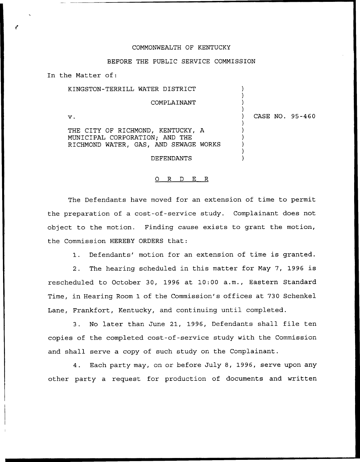## COMMONWEALTH OF KENTUCKY

## BEFORE THE PUBLIC SERVICE COMMISSION

In the Matter of:

KINGSTON-TERRILL WATER DISTRICT COMPLAINANT

 $V.$ 

) CASE NO, 95-460

) ) ) )

> ) ) ) ) ) )

THE CITY OF RICHMOND, KENTUCKY, A MUNICIPAL CORPORATION; AND THE RICHMOND WATER, GAS, AND SEWAGE WORKS

DEFENDANTS

## 0 R <sup>D</sup> E R

The Defendants have moved for an extension of time to permit the preparation of a cost-of-service study. Complainant does not object to the motion. Finding cause exists to grant the motion, the Commission HEREBY ORDERS that:

1. Defendants' motion for an extension of time is granted.

2. The hearing scheduled in this matter for May 7, 1996 is rescheduled to October 30, 1996 at 10:00 a.m., Eastern Standard Time, in Hearing Room 1 of the Commission's offices at 730 Schenkel Lane, Frankfort, Kentucky, and continuing until completed.

3. No later than June 21, 1996, Defendants shall file ten copies of the completed cost-of-service study with the Commission and shall serve a copy of such study on the Complainant.

4. Each party may, on or before July 8, 1996, serve upon any other party a request for production of documents and written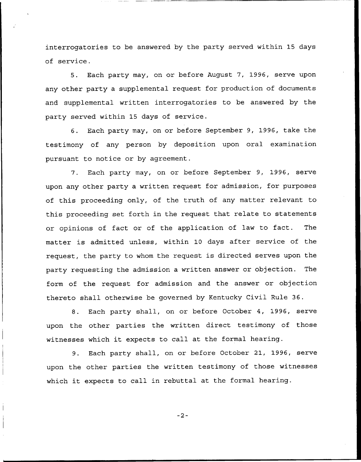interrogatories to be answered by the party served within 15 days of service.

5. Each party may, on or before August 7, 1996, serve upon any other party a supplemental request for production of documents and supplemental written interrogatories to be answered by the party served within 15 days of service.

6. Each party may, on or before September 9, 1996, take the testimony of any person by deposition upon oral examination pursuant to notice or by agreement.

7. Each party may, on or before September 9, 1996, serve upon any other party a written request for admission, for purposes of this proceeding only, of the truth of any matter relevant to this proceeding set forth in the request that relate to statements or opinions of fact or of the application of law to fact. The matter is admitted unless, within 10 days after service of the request, the party to whom the request is directed serves upon the party requesting the admission a written answer or objection. The form of the request for admission and the answer or objection thereto shall otherwise be governed by Kentucky Civil Rule 36.

8. Each party shall, on or before October 4, 1996, serve upon the other parties the written direct testimony of those witnesses which it expects to call at the formal hearing.

9. Each party shall, on or before October 21, 1996, serve upon the other parties the written testimony of those witnesses which it expects to call in rebuttal at the formal hearing.

 $-2-$